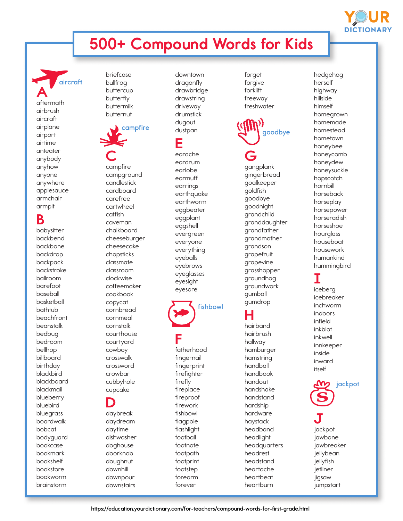# 500+ Compound Words for Kids

**aircraft** A aftermath airbrush aircraft airplane airport airtime anteater anybody anyhow anyone anywhere applesauce armchair armpit

### B

babysitter backbend backbone backdrop backpack backstroke ballroom barefoot baseball basketball bathtub beachfront beanstalk bedbug bedroom bellhop billboard birthday blackbird blackboard blackmail blueberry bluebird bluegrass boardwalk bobcat bodyguard bookcase bookmark bookshelf bookstore bookworm brainstorm

briefcase bullfrog buttercup butterfly buttermilk butternut



C campfire campground candlestick cardboard carefree cartwheel catfish caveman chalkboard cheeseburger cheesecake chopsticks classmate classroom clockwise coffeemaker cookbook copycat cornbread cornmeal cornstalk courthouse courtyard cowboy crosswalk crossword crowbar cubbyhole cupcake

#### D daybreak daydream daytime dishwasher doghouse doorknob doughnut downhill downpour downstairs

downtown dragonfly drawbridge drawstring driveway drumstick dugout dustpan

#### E

earache eardrum earlobe earmuff earrings earthquake earthworm eggbeater eggplant eggshell evergreen everyone everything eyeballs eyebrows eyeglasses eyesight eyesore

**fishbowl**

## F

fatherhood fingernail fingerprint firefighter firefly fireplace fireproof firework fishbowl flagpole flashlight football footnote footpath footprint footstep forearm forever

forget forgive forklift freeway freshwater



gangplank gingerbread goalkeeper goldfish goodbye goodnight grandchild granddaughter grandfather grandmother grandson grapefruit grapevine grasshopper groundhog groundwork gumball gumdrop

### H

hairband hairbrush hallway hamburger hamstring handball handbook handout handshake handstand hardship hardware haystack headband headlight headquarters headrest headstand heartache heartbeat heartburn

herself highway hillside himself homegrown homemade homestead hometown honeybee honeycomb honeydew honeysuckle hopscotch hornbill horseback horseplay horsepower horseradish horseshoe hourglass houseboat housework humankind hummingbird

hedgehog

**DICTIONAR** 

#### I iceberg icebreaker inchworm indoors infield inkblot

inkwell innkeeper inside inward itself



J jackpot jawbone jawbreaker jellybean jellyfish jetliner jigsaw jumpstart